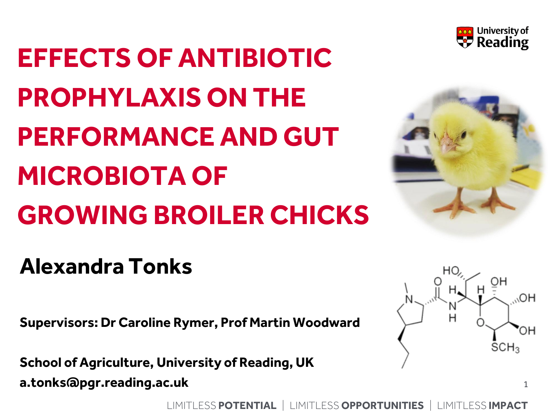

# **EFFECTS OF ANTIBIOTIC PROPHYLAXIS ON THE PERFORMANCE AND GUT MICROBIOTA OF GROWING BROILER CHICKS**



## **Alexandra Tonks**

**Supervisors: Dr Caroline Rymer, Prof Martin Woodward**

**School of Agriculture, University of Reading, UK a.tonks@pgr.reading.ac.uk**



1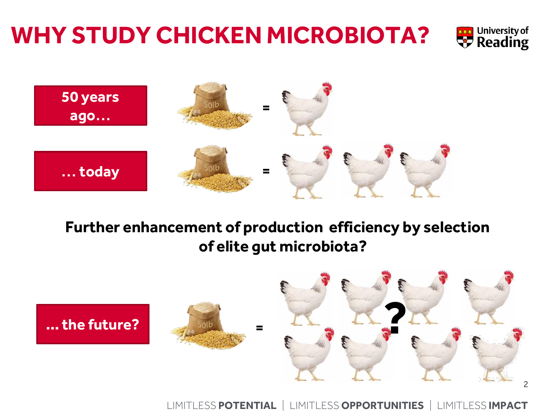# **WHY STUDY CHICKEN MICROBIOTA?**





#### **Further enhancement of production efficiency by selection of elite gut microbiota?**

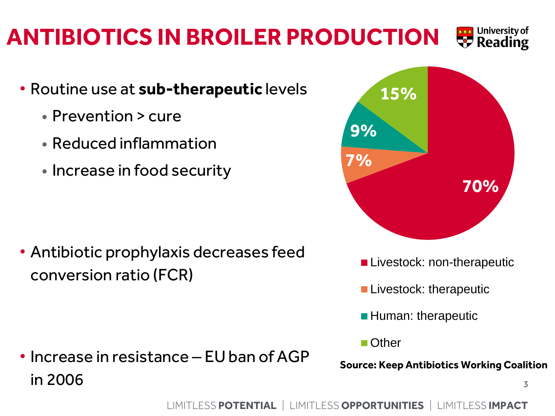#### LIMITLESS POTENTIAL | LIMITLESS OPPORTUNITIES | LIMITLESS IMPACT

#### University of **ANTIBIOTICS IN BROILER PRODUCTION**  $\triangledown$  Reading

- Routine use at **sub-therapeutic** levels
	- Prevention > cure
	- Reduced inflammation
	- Increase in food security

• Antibiotic prophylaxis decreases feed conversion ratio (FCR)

• Increase in resistance – EU ban of AGP  $\frac{1}{3}$  in 2006



- **Livestock: therapeutic**
- **Human: therapeutic**
- Other
- **Source: Keep Antibiotics Working Coalition**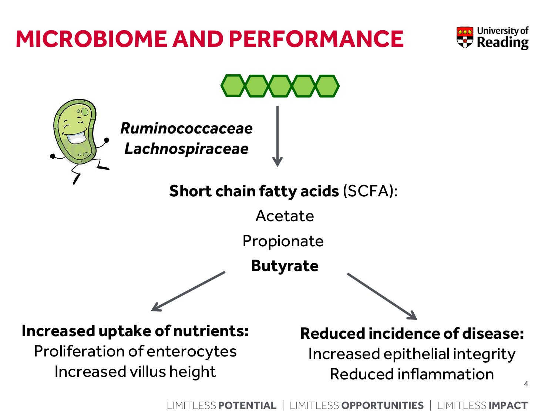## **MICROBIOME AND PERFORMANCE**



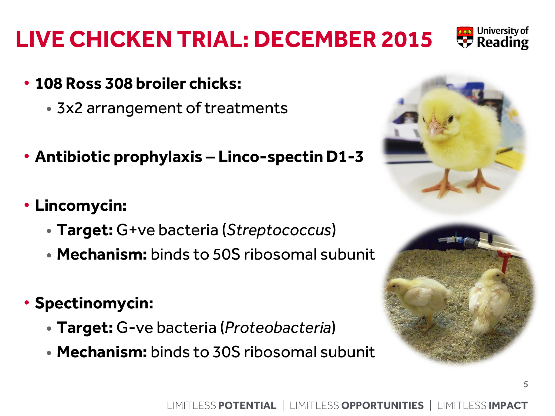- **Antibiotic prophylaxis – Linco-spectin D1-3**
- **Lincomycin:** 
	- **Target:** G+ve bacteria (*Streptococcus*)
	- **Mechanism:** binds to 50S ribosomal subunit
- **Spectinomycin:**
	- **Target:** G-ve bacteria (*Proteobacteria*)
	- **Mechanism:** binds to 30S ribosomal subunit

# **LIVE CHICKEN TRIAL: DECEMBER 2015**

- **108 Ross 308 broiler chicks:**
	- 3x2 arrangement of treatments





5

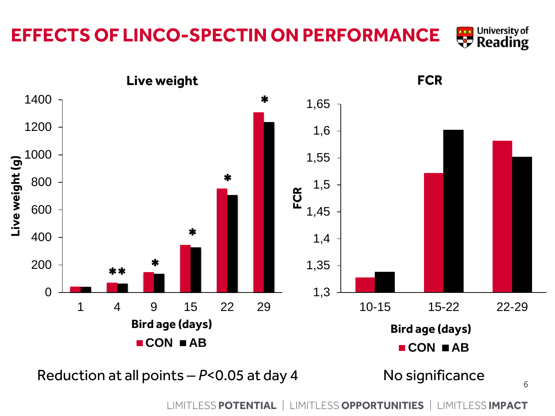#### **FCR Live weight**

**EFFECTS OF LINCO-SPECTIN ON PERFORMANCE**



Reduction at all points – *P*<0.05 at day 4 No significance

**University of Assed University of**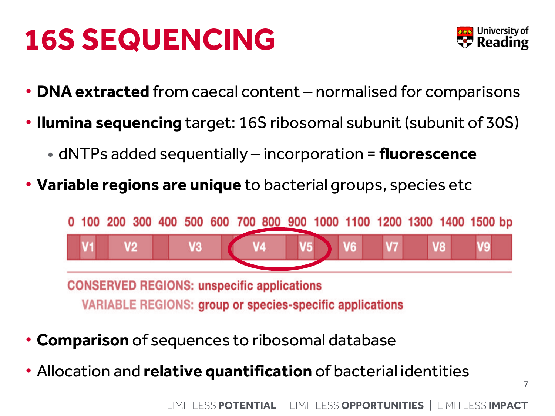# **16S SEQUENCING**



- **DNA extracted** from caecal content normalised for comparisons
- **Ilumina sequencing** target: 16S ribosomal subunit (subunit of 30S)
	- dNTPs added sequentially incorporation = **fluorescence**
- **Variable regions are unique** to bacterial groups, species etc

100 200 300 400 500 600 700 800 900 1000 1100 1200 1300 1400 1500 bp V2 V<sub>3</sub> V<sub>8</sub>

**CONSERVED REGIONS: unspecific applications VARIABLE REGIONS: group or species-specific applications** 

- **Comparison** of sequences to ribosomal database
- Allocation and **relative quantification** of bacterial identities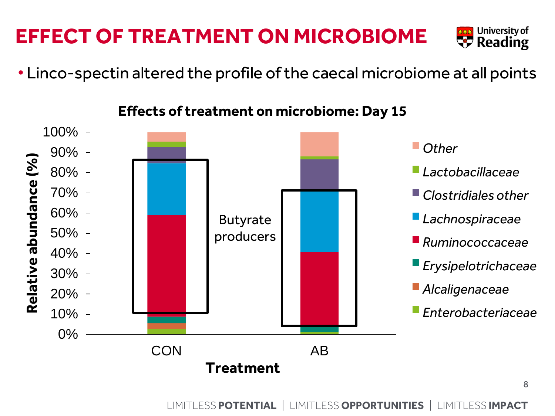## **Effects of treatment on microbiome: Day 15**

• Linco-spectin altered the profile of the caecal microbiome at all points



#### **EFFECT OF TREATMENT ON MICROBIOME**



8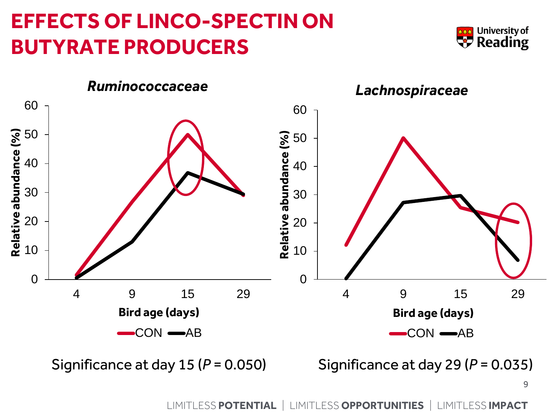#### **EFFECTS OF LINCO-SPECTIN ON BUTYRATE PRODUCERS**





Significance at day  $15 (P = 0.050)$  Significance at day  $29 (P = 0.035)$ 

9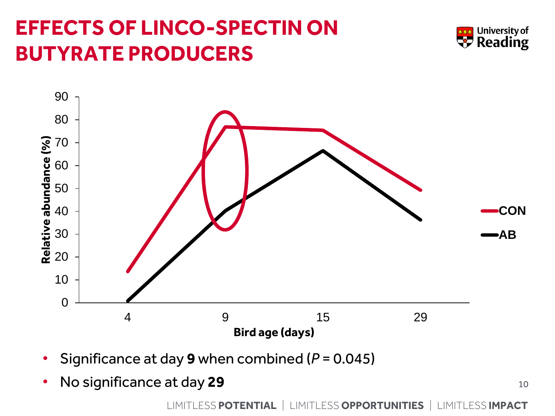## **EFFECTS OF LINCO-SPECTIN ON BUTYRATE PRODUCERS**





- Significance at day **9** when combined (*P* = 0.045)
- No significance at day **29**

10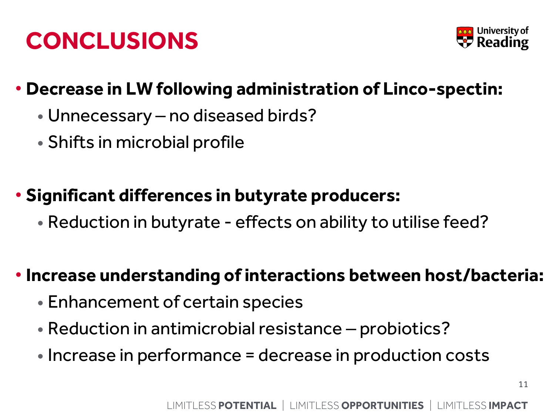# **CONCLUSIONS**



#### • **Decrease in LW following administration of Linco-spectin:**

- Unnecessary no diseased birds?
- Shifts in microbial profile

#### • **Significant differences in butyrate producers:**

• Reduction in butyrate - effects on ability to utilise feed?

#### • **Increase understanding of interactions between host/bacteria:**

- Enhancement of certain species
- Reduction in antimicrobial resistance probiotics?
- Increase in performance = decrease in production costs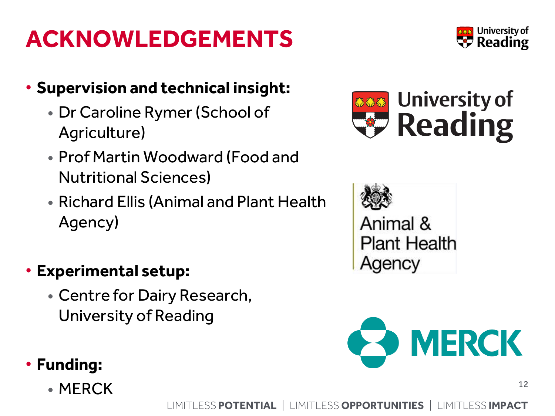# **ACKNOWLEDGEMENTS**

#### • **Supervision and technical insight:**

- Dr Caroline Rymer(School of Agriculture)
- Prof Martin Woodward (Food and Nutritional Sciences)
- Richard Ellis (Animal and Plant Health Agency)

#### • **Experimental setup:**

• Centre for Dairy Research, University of Reading

#### • **Funding:**

• MERCK  $12$